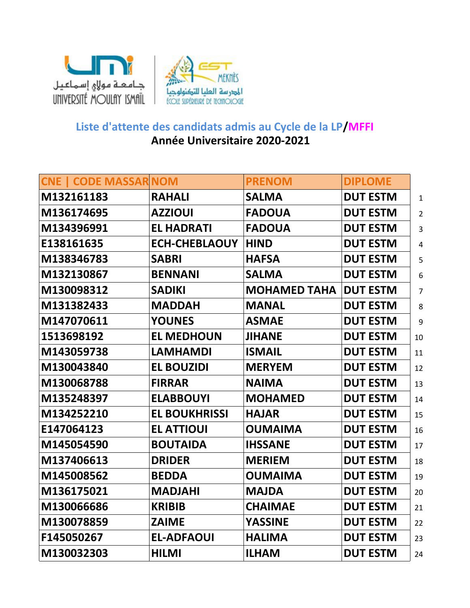



## **Année Universitaire 2020-2021 Liste d'attente des candidats admis au Cycle de la LP/MFFI**

| <b>CNE   CODE MASSAR NOM</b> |                      | <b>PRENOM</b>       | <b>DIPLOME</b>  |                |
|------------------------------|----------------------|---------------------|-----------------|----------------|
| M132161183                   | <b>RAHALI</b>        | <b>SALMA</b>        | <b>DUT ESTM</b> | $\mathbf{1}$   |
| M136174695                   | <b>AZZIOUI</b>       | <b>FADOUA</b>       | <b>DUT ESTM</b> | $\overline{2}$ |
| M134396991                   | <b>EL HADRATI</b>    | <b>FADOUA</b>       | <b>DUT ESTM</b> | $\overline{3}$ |
| E138161635                   | <b>ECH-CHEBLAOUY</b> | <b>HIND</b>         | <b>DUT ESTM</b> | $\overline{4}$ |
| M138346783                   | <b>SABRI</b>         | <b>HAFSA</b>        | <b>DUT ESTM</b> | 5              |
| M132130867                   | <b>BENNANI</b>       | <b>SALMA</b>        | <b>DUT ESTM</b> | 6              |
| M130098312                   | <b>SADIKI</b>        | <b>MOHAMED TAHA</b> | <b>DUT ESTM</b> | $\overline{7}$ |
| M131382433                   | <b>MADDAH</b>        | <b>MANAL</b>        | <b>DUT ESTM</b> | 8              |
| M147070611                   | <b>YOUNES</b>        | <b>ASMAE</b>        | <b>DUT ESTM</b> | 9              |
| 1513698192                   | <b>EL MEDHOUN</b>    | <b>JIHANE</b>       | <b>DUT ESTM</b> | 10             |
| M143059738                   | <b>LAMHAMDI</b>      | <b>ISMAIL</b>       | <b>DUT ESTM</b> | 11             |
| M130043840                   | <b>EL BOUZIDI</b>    | <b>MERYEM</b>       | <b>DUT ESTM</b> | 12             |
| M130068788                   | <b>FIRRAR</b>        | <b>NAIMA</b>        | <b>DUT ESTM</b> | 13             |
| M135248397                   | <b>ELABBOUYI</b>     | <b>MOHAMED</b>      | <b>DUT ESTM</b> | 14             |
| M134252210                   | <b>EL BOUKHRISSI</b> | <b>HAJAR</b>        | <b>DUT ESTM</b> | 15             |
| E147064123                   | <b>EL ATTIOUI</b>    | <b>OUMAIMA</b>      | <b>DUT ESTM</b> | 16             |
| M145054590                   | <b>BOUTAIDA</b>      | <b>IHSSANE</b>      | <b>DUT ESTM</b> | 17             |
| M137406613                   | <b>DRIDER</b>        | <b>MERIEM</b>       | <b>DUT ESTM</b> | 18             |
| M145008562                   | <b>BEDDA</b>         | <b>OUMAIMA</b>      | <b>DUT ESTM</b> | 19             |
| M136175021                   | <b>MADJAHI</b>       | <b>MAJDA</b>        | <b>DUT ESTM</b> | 20             |
| M130066686                   | <b>KRIBIB</b>        | <b>CHAIMAE</b>      | <b>DUT ESTM</b> | 21             |
| M130078859                   | <b>ZAIME</b>         | <b>YASSINE</b>      | <b>DUT ESTM</b> | 22             |
| F145050267                   | <b>EL-ADFAOUI</b>    | <b>HALIMA</b>       | <b>DUT ESTM</b> | 23             |
| M130032303                   | <b>HILMI</b>         | <b>ILHAM</b>        | <b>DUT ESTM</b> | 24             |